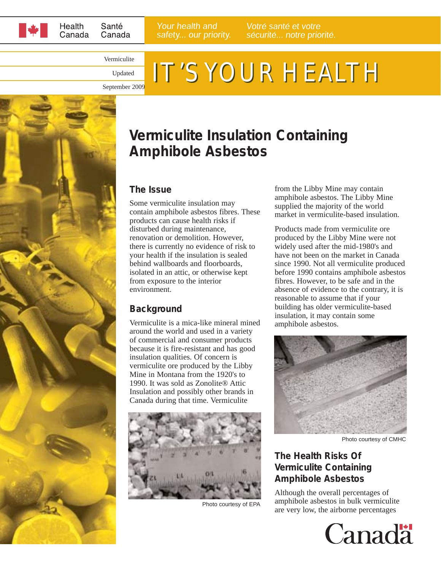

Your health and safety... our priority.

Vermiculite Updated

# IT'S YOUR HEALTH

September 2009



### **Vermiculite Insulation Containing Amphibole Asbestos**

#### **The Issue**

Some vermiculite insulation may contain amphibole asbestos fibres. These products can cause health risks if disturbed during maintenance, renovation or demolition. However, there is currently no evidence of risk to your health if the insulation is sealed behind wallboards and floorboards, isolated in an attic, or otherwise kept from exposure to the interior environment.

#### **Background**

Vermiculite is a mica-like mineral mined around the world and used in a variety of commercial and consumer products because it is fire-resistant and has good insulation qualities. Of concern is vermiculite ore produced by the Libby Mine in Montana from the 1920's to 1990. It was sold as Zonolite® Attic Insulation and possibly other brands in Canada during that time. Vermiculite



Photo courtesy of EPA

from the Libby Mine may contain amphibole asbestos. The Libby Mine supplied the majority of the world market in vermiculite-based insulation.

Products made from vermiculite ore produced by the Libby Mine were not widely used after the mid-1980's and have not been on the market in Canada since 1990. Not all vermiculite produced before 1990 contains amphibole asbestos fibres. However, to be safe and in the absence of evidence to the contrary, it is reasonable to assume that if your building has older vermiculite-based insulation, it may contain some amphibole asbestos.



Photo courtesy of CMHC

#### **The Health Risks Of Vermiculite Containing Amphibole Asbestos**

Although the overall percentages of amphibole asbestos in bulk vermiculite are very low, the airborne percentages

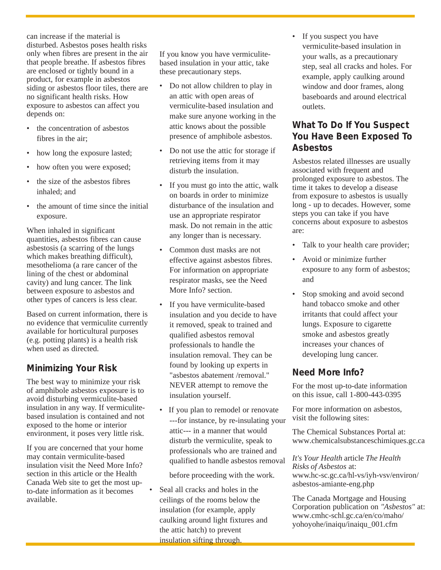can increase if the material is disturbed. Asbestos poses health risks only when fibres are present in the air that people breathe. If asbestos fibres are enclosed or tightly bound in a product, for example in asbestos siding or asbestos floor tiles, there are no significant health risks. How exposure to asbestos can affect you depends on:

- the concentration of asbestos fibres in the air;
- how long the exposure lasted;
- how often you were exposed;
- the size of the asbestos fibres inhaled; and
- the amount of time since the initial exposure.

When inhaled in significant quantities, asbestos fibres can cause asbestosis (a scarring of the lungs which makes breathing difficult), mesothelioma (a rare cancer of the lining of the chest or abdominal cavity) and lung cancer. The link between exposure to asbestos and other types of cancers is less clear.

Based on current information, there is no evidence that vermiculite currently available for horticultural purposes (e.g. potting plants) is a health risk when used as directed.

#### **Minimizing Your Risk**

The best way to minimize your risk of amphibole asbestos exposure is to avoid disturbing vermiculite-based insulation in any way. If vermiculitebased insulation is contained and not exposed to the home or interior environment, it poses very little risk.

If you are concerned that your home may contain vermiculite-based insulation visit the Need More Info? section in this article or the Health Canada Web site to get the most upto-date information as it becomes available.

If you know you have vermiculitebased insulation in your attic, take these precautionary steps.

- Do not allow children to play in an attic with open areas of vermiculite-based insulation and make sure anyone working in the attic knows about the possible presence of amphibole asbestos.
- Do not use the attic for storage if retrieving items from it may disturb the insulation.
- If you must go into the attic, walk on boards in order to minimize disturbance of the insulation and use an appropriate respirator mask. Do not remain in the attic any longer than is necessary.
- Common dust masks are not effective against asbestos fibres. For information on appropriate respirator masks, see the Need More Info? section.
- If you have vermiculite-based insulation and you decide to have it removed, speak to trained and qualified asbestos removal professionals to handle the insulation removal. They can be found by looking up experts in "asbestos abatement /removal." NEVER attempt to remove the insulation yourself.
- If you plan to remodel or renovate ---for instance, by re-insulating your attic--- in a manner that would disturb the vermiculite, speak to professionals who are trained and qualified to handle asbestos removal

before proceeding with the work.

• Seal all cracks and holes in the ceilings of the rooms below the insulation (for example, apply caulking around light fixtures and the attic hatch) to prevent insulation sifting through.

• If you suspect you have vermiculite-based insulation in your walls, as a precautionary step, seal all cracks and holes. For example, apply caulking around window and door frames, along baseboards and around electrical outlets.

#### **What To Do If You Suspect You Have Been Exposed To Asbestos**

Asbestos related illnesses are usually associated with frequent and prolonged exposure to asbestos. The time it takes to develop a disease from exposure to asbestos is usually long - up to decades. However, some steps you can take if you have concerns about exposure to asbestos are:

- Talk to your health care provider;
- Avoid or minimize further exposure to any form of asbestos; and
- Stop smoking and avoid second hand tobacco smoke and other irritants that could affect your lungs. Exposure to cigarette smoke and asbestos greatly increases your chances of developing lung cancer.

#### **Need More Info?**

For the most up-to-date information on this issue, call 1-800-443-0395

For more information on asbestos, visit the following sites:

The Chemical Substances Portal at: www.chemicalsubstanceschimiques.gc.ca

*It's Your Health* article *The Health Risks of Asbestos* at: www.hc-sc.gc.ca/hl-vs/iyh-vsv/environ/ asbestos-amiante-eng.php

The Canada Mortgage and Housing Corporation publication on *"Asbestos"* at: www.cmhc-schl.gc.ca/en/co/maho/ yohoyohe/inaiqu/inaiqu\_001.cfm